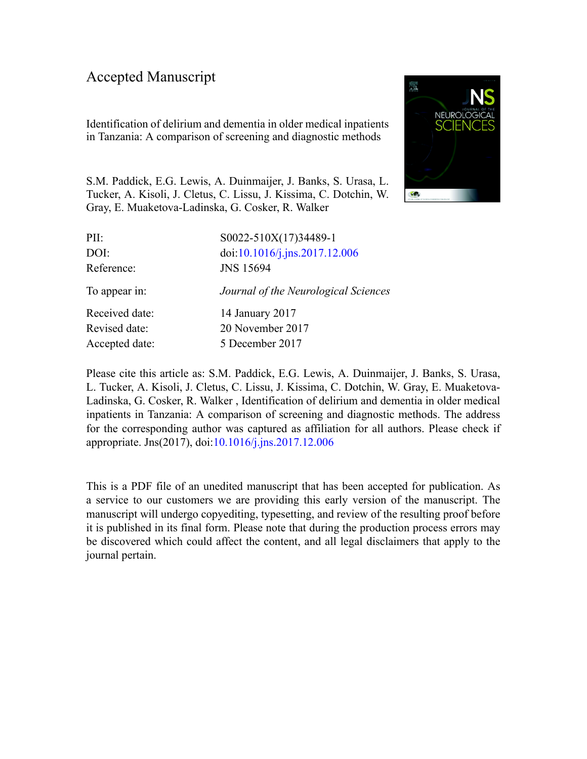### Accepted Manuscript

Identification of delirium and dementia in older medical inpatients in Tanzania: A comparison of screening and diagnostic methods



S.M. Paddick, E.G. Lewis, A. Duinmaijer, J. Banks, S. Urasa, L. Tucker, A. Kisoli, J. Cletus, C. Lissu, J. Kissima, C. Dotchin, W. Gray, E. Muaketova-Ladinska, G. Cosker, R. Walker

| PII:           | S0022-510X(17)34489-1                |
|----------------|--------------------------------------|
| DOI:           | doi:10.1016/j.jns.2017.12.006        |
| Reference:     | <b>JNS 15694</b>                     |
| To appear in:  | Journal of the Neurological Sciences |
| Received date: | 14 January 2017                      |
| Revised date:  | 20 November 2017                     |
| Accepted date: | 5 December 2017                      |
|                |                                      |

Please cite this article as: S.M. Paddick, E.G. Lewis, A. Duinmaijer, J. Banks, S. Urasa, L. Tucker, A. Kisoli, J. Cletus, C. Lissu, J. Kissima, C. Dotchin, W. Gray, E. Muaketova-Ladinska, G. Cosker, R. Walker , Identification of delirium and dementia in older medical inpatients in Tanzania: A comparison of screening and diagnostic methods. The address for the corresponding author was captured as affiliation for all authors. Please check if appropriate. Jns(2017), doi:[10.1016/j.jns.2017.12.006](https://doi.org/10.1016/j.jns.2017.12.006)

This is a PDF file of an unedited manuscript that has been accepted for publication. As a service to our customers we are providing this early version of the manuscript. The manuscript will undergo copyediting, typesetting, and review of the resulting proof before it is published in its final form. Please note that during the production process errors may be discovered which could affect the content, and all legal disclaimers that apply to the journal pertain.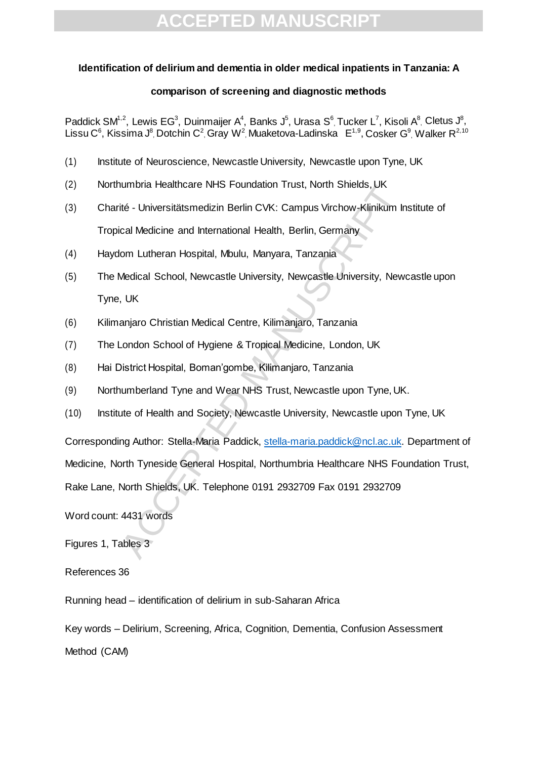#### **Identification of delirium and dementia in older medical inpatients in Tanzania: A**

#### **comparison of screening and diagnostic methods**

Paddick SM<sup>1,2</sup>, Lewis EG<sup>3</sup>, Duinmaijer A<sup>4</sup>, Banks J<sup>5</sup>, Urasa S<sup>6</sup>, Tucker L<sup>7</sup>, Kisoli A<sup>8</sup>, Cletus J<sup>8</sup>, Lissu $\, {\sf C}^6, \,$ Kissima J $^8$ , Dotchin  ${\sf C}^2$ , Gray W $^2$ , Muaketova-Ladinska  $\,$  E $^{1, 9}, \,$ Cosker  ${\sf G}^9,$  Walker  ${\sf R}^{2, 10}$ 

- (1) Institute of Neuroscience, Newcastle University, Newcastle upon Tyne, UK
- (2) Northumbria Healthcare NHS Foundation Trust, North Shields,UK
- (3) Charité Universitätsmedizin Berlin CVK: Campus Virchow-Klinikum Institute of Tropical Medicine and International Health, Berlin, Germany
- (4) Haydom Lutheran Hospital, Mbulu, Manyara, Tanzania
- (5) The Medical School, Newcastle University, Newcastle University, Newcastle upon Tyne, UK
- (6) Kilimanjaro Christian Medical Centre, Kilimanjaro, Tanzania
- (7) The London School of Hygiene & Tropical Medicine, London, UK
- (8) Hai District Hospital, Boman'gombe, Kilimanjaro, Tanzania
- (9) Northumberland Tyne and Wear NHS Trust, Newcastle upon Tyne, UK.
- (10) Institute of Health and Society, Newcastle University, Newcastle upon Tyne, UK

ndmina Healthcare Whis Poundation Trust, North Shields, OK<br>Ité - Universitätsmedizin Berlin CVK: Campus Virchow-Klinikum In<br>cal Medicine and International Health, Berlin, Germany<br>Som Lutheran Hospital, Mbulu, Manyara, Tanz Corresponding Author: Stella-Maria Paddick, stella-maria.paddick@ncl.ac.uk. Department of Medicine, North Tyneside General Hospital, Northumbria Healthcare NHS Foundation Trust, Rake Lane, North Shields, UK. Telephone 0191 2932709 Fax 0191 2932709

Word count: 4431 words

Figures 1, Tables 3

References 36

Running head – identification of delirium in sub-Saharan Africa

Key words – Delirium, Screening, Africa, Cognition, Dementia, Confusion Assessment Method (CAM)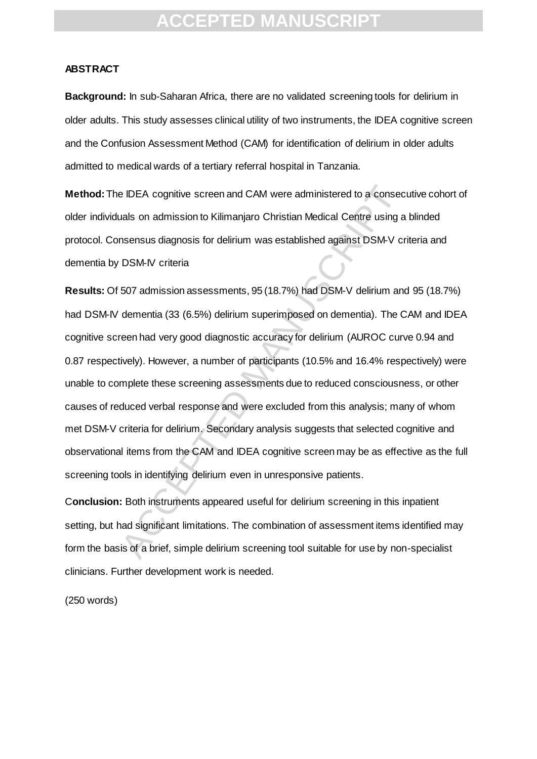#### **ABSTRACT**

**Background:** In sub-Saharan Africa, there are no validated screening tools for delirium in older adults. This study assesses clinical utility of two instruments, the IDEA cognitive screen and the Confusion Assessment Method (CAM) for identification of delirium in older adults admitted to medical wards of a tertiary referral hospital in Tanzania.

**Method:** The IDEA cognitive screen and CAM were administered to a consecutive cohort of older individuals on admission to Kilimanjaro Christian Medical Centre using a blinded protocol. Consensus diagnosis for delirium was established against DSM-V criteria and dementia by DSM-IV criteria

e IDEA cognitive screen and CAM were administered to a consec<br>uals on admission to Kilimanjaro Christian Medical Centre using a<br>nsensus diagnosis for delirium was established against DSM-V cr<br>DSM-IV criteria<br>507 admission **Results:** Of 507 admission assessments, 95 (18.7%) had DSM-V delirium and 95 (18.7%) had DSM-IV dementia (33 (6.5%) delirium superimposed on dementia). The CAM and IDEA cognitive screen had very good diagnostic accuracy for delirium (AUROC curve 0.94 and 0.87 respectively). However, a number of participants (10.5% and 16.4% respectively) were unable to complete these screening assessments due to reduced consciousness, or other causes of reduced verbal response and were excluded from this analysis; many of whom met DSM-V criteria for delirium. Secondary analysis suggests that selected cognitive and observational items from the CAM and IDEA cognitive screen may be as effective as the full screening tools in identifying delirium even in unresponsive patients.

C**onclusion:** Both instruments appeared useful for delirium screening in this inpatient setting, but had significant limitations. The combination of assessment items identified may form the basis of a brief, simple delirium screening tool suitable for use by non-specialist clinicians. Further development work is needed.

(250 words)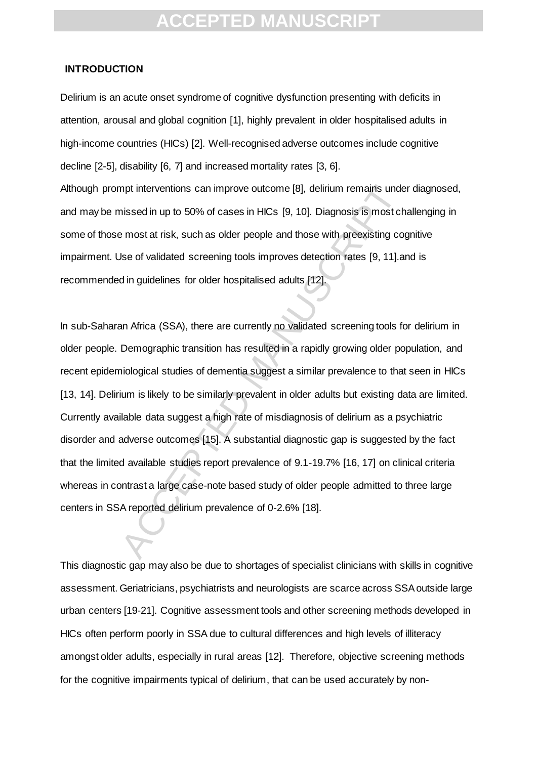#### **INTRODUCTION**

Delirium is an acute onset syndrome of cognitive dysfunction presenting with deficits in attention, arousal and global cognition [1], highly prevalent in older hospitalised adults in high-income countries (HICs) [2]. Well-recognised adverse outcomes include cognitive decline [2-5], disability [6, 7] and increased mortality rates [3, 6]. Although prompt interventions can improve outcome [8], delirium remains under diagnosed, and may be missed in up to 50% of cases in HICs [9, 10]. Diagnosis is most challenging in some of those most at risk, such as older people and those with preexisting cognitive impairment. Use of validated screening tools improves detection rates [9, 11].and is recommended in guidelines for older hospitalised adults [12].

mpt interventions can improve outcome [8], delirium remains under<br>inseed in up to 50% of cases in HICs [9, 10]. Diagnosis is most che<br>most at risk, such as older people and those with preexisting cor<br>lse of validated scree In sub-Saharan Africa (SSA), there are currently no validated screening tools for delirium in older people. Demographic transition has resulted in a rapidly growing older population, and recent epidemiological studies of dementia suggest a similar prevalence to that seen in HICs [13, 14]. Delirium is likely to be similarly prevalent in older adults but existing data are limited. Currently available data suggest a high rate of misdiagnosis of delirium as a psychiatric disorder and adverse outcomes [15]. A substantial diagnostic gap is suggested by the fact that the limited available studies report prevalence of 9.1-19.7% [16, 17] on clinical criteria whereas in contrast a large case-note based study of older people admitted to three large centers in SSA reported delirium prevalence of 0-2.6% [18].

This diagnostic gap may also be due to shortages of specialist clinicians with skills in cognitive assessment. Geriatricians, psychiatrists and neurologists are scarce across SSA outside large urban centers [19-21]. Cognitive assessment tools and other screening methods developed in HICs often perform poorly in SSA due to cultural differences and high levels of illiteracy amongst older adults, especially in rural areas [12]. Therefore, objective screening methods for the cognitive impairments typical of delirium, that can be used accurately by non-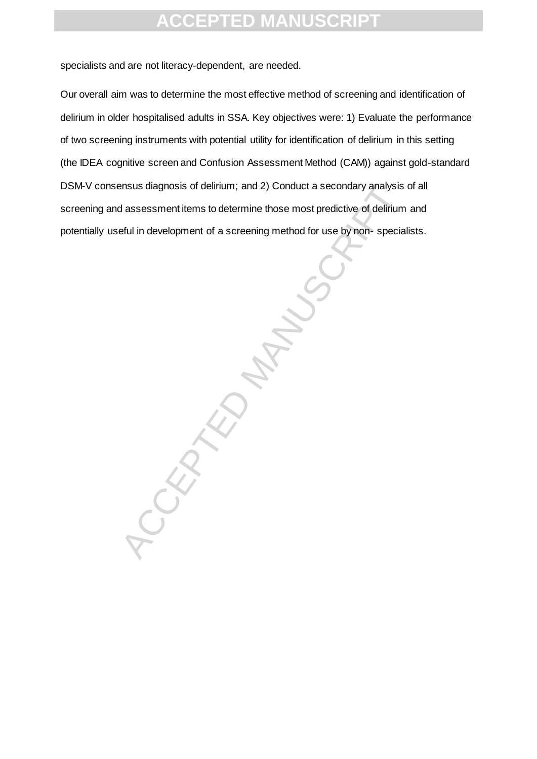specialists and are not literacy-dependent, are needed.

Our overall aim was to determine the most effective method of screening and identification of delirium in older hospitalised adults in SSA. Key objectives were: 1) Evaluate the performance of two screening instruments with potential utility for identification of delirium in this setting (the IDEA cognitive screen and Confusion Assessment Method (CAM)) against gold-standard DSM-V consensus diagnosis of delirium; and 2) Conduct a secondary analysis of all screening and assessment items to determine those most predictive of delirium and potentially useful in development of a screening method for use by non- specialists.

ACCEPTED MANUSCRIPT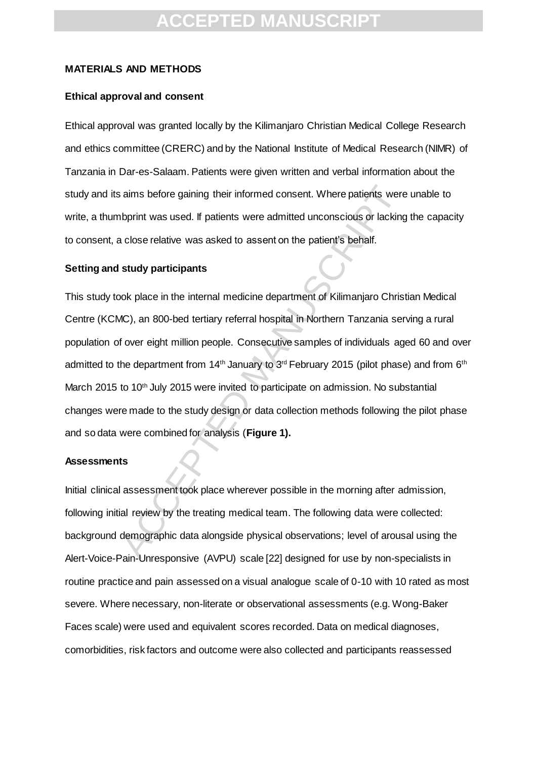#### **MATERIALS AND METHODS**

#### **Ethical approval and consent**

Ethical approval was granted locally by the Kilimanjaro Christian Medical College Research and ethics committee (CRERC) and by the National Institute of Medical Research (NIMR) of Tanzania in Dar-es-Salaam. Patients were given written and verbal information about the study and its aims before gaining their informed consent. Where patients were unable to write, a thumbprint was used. If patients were admitted unconscious or lacking the capacity to consent, a close relative was asked to assent on the patient's behalf.

#### **Setting and study participants**

is aims before gaining their informed consent. Where patients were<br>hbprint was used. If patients were admitted unconscious or lacking<br>a close relative was asked to assent on the patient's behalf.<br> **Study participants**<br>
MON This study took place in the internal medicine department of Kilimanjaro Christian Medical Centre (KCMC), an 800-bed tertiary referral hospital in Northern Tanzania serving a rural population of over eight million people. Consecutive samples of individuals aged 60 and over admitted to the department from 14<sup>th</sup> January to  $3<sup>rd</sup>$  February 2015 (pilot phase) and from  $6<sup>th</sup>$ March 2015 to 10<sup>th</sup> July 2015 were invited to participate on admission. No substantial changes were made to the study design or data collection methods following the pilot phase and so data were combined for analysis (**Figure 1).**

#### **Assessments**

Initial clinical assessment took place wherever possible in the morning after admission, following initial review by the treating medical team. The following data were collected: background demographic data alongside physical observations; level of arousal using the Alert-Voice-Pain-Unresponsive (AVPU) scale [22] designed for use by non-specialists in routine practice and pain assessed on a visual analogue scale of 0-10 with 10 rated as most severe. Where necessary, non-literate or observational assessments (e.g. Wong-Baker Faces scale) were used and equivalent scores recorded. Data on medical diagnoses, comorbidities, risk factors and outcome were also collected and participants reassessed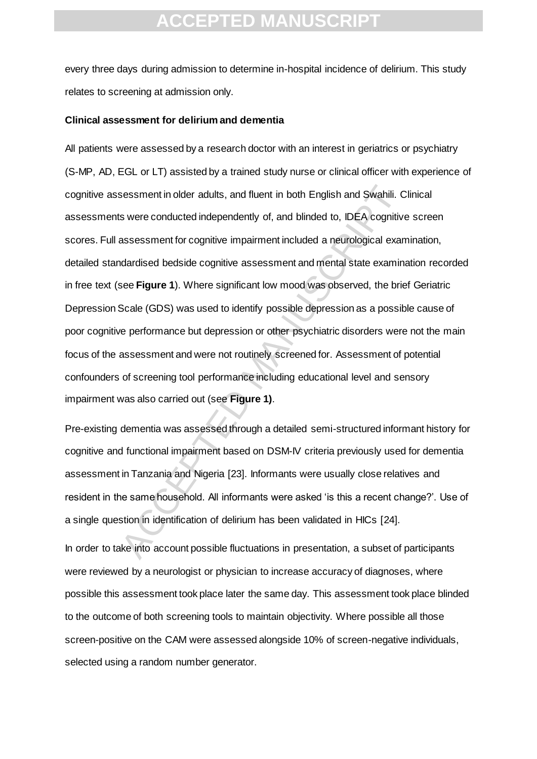every three days during admission to determine in-hospital incidence of delirium. This study relates to screening at admission only.

#### **Clinical assessment for delirium and dementia**

sessment in older adults, and fluent in both English and Swahili. C<br>s were conducted independently of, and blinded to, IDEA cognitive<br>assessment for cognitive impairment included a neurological exam<br>dardised bedside cognit All patients were assessed by a research doctor with an interest in geriatrics or psychiatry (S-MP, AD, EGL or LT) assisted by a trained study nurse or clinical officer with experience of cognitive assessment in older adults, and fluent in both English and Swahili. Clinical assessments were conducted independently of, and blinded to, IDEA cognitive screen scores. Full assessment for cognitive impairment included a neurological examination, detailed standardised bedside cognitive assessment and mental state examination recorded in free text (see **Figure 1**). Where significant low mood was observed, the brief Geriatric Depression Scale (GDS) was used to identify possible depression as a possible cause of poor cognitive performance but depression or other psychiatric disorders were not the main focus of the assessment and were not routinely screened for. Assessment of potential confounders of screening tool performance including educational level and sensory impairment was also carried out (see **Figure 1)**.

Pre-existing dementia was assessed through a detailed semi-structured informant history for cognitive and functional impairment based on DSM-IV criteria previously used for dementia assessment in Tanzania and Nigeria [23]. Informants were usually close relatives and resident in the same household. All informants were asked 'is this a recent change?'. Use of a single question in identification of delirium has been validated in HICs [24].

In order to take into account possible fluctuations in presentation, a subset of participants were reviewed by a neurologist or physician to increase accuracy of diagnoses, where possible this assessment took place later the same day. This assessment took place blinded to the outcome of both screening tools to maintain objectivity. Where possible all those screen-positive on the CAM were assessed alongside 10% of screen-negative individuals, selected using a random number generator.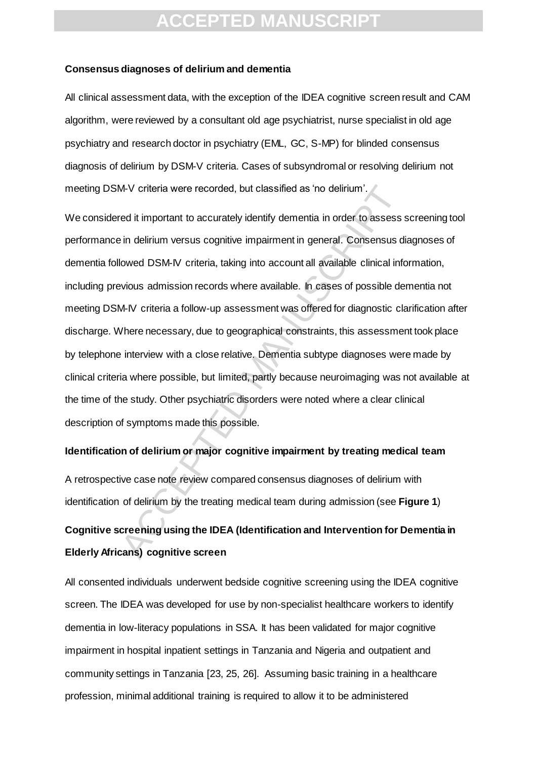#### **Consensus diagnoses of delirium and dementia**

All clinical assessment data, with the exception of the IDEA cognitive screen result and CAM algorithm, were reviewed by a consultant old age psychiatrist, nurse specialist in old age psychiatry and research doctor in psychiatry (EML, GC, S-MP) for blinded consensus diagnosis of delirium by DSM-V criteria. Cases of subsyndromal or resolving delirium not meeting DSM-V criteria were recorded, but classified as 'no delirium'.

M-V criteria were recorded, but classified as 'no delirium'.<br>
Yed it important to accurately identify dementia in order to assess sincularity of the metallity dementia in order to assess sincularity of the distribution ver We considered it important to accurately identify dementia in order to assess screening tool performance in delirium versus cognitive impairment in general. Consensus diagnoses of dementia followed DSM-IV criteria, taking into account all available clinical information, including previous admission records where available. In cases of possible dementia not meeting DSM-IV criteria a follow-up assessment was offered for diagnostic clarification after discharge. Where necessary, due to geographical constraints, this assessment took place by telephone interview with a close relative. Dementia subtype diagnoses were made by clinical criteria where possible, but limited, partly because neuroimaging was not available at the time of the study. Other psychiatric disorders were noted where a clear clinical description of symptoms made this possible.

#### **Identification of delirium or major cognitive impairment by treating medical team**

A retrospective case note review compared consensus diagnoses of delirium with identification of delirium by the treating medical team during admission (see **Figure 1**)

### **Cognitive screening using the IDEA (Identification and Intervention for Dementia in Elderly Africans) cognitive screen**

All consented individuals underwent bedside cognitive screening using the IDEA cognitive screen. The IDEA was developed for use by non-specialist healthcare workers to identify dementia in low-literacy populations in SSA. It has been validated for major cognitive impairment in hospital inpatient settings in Tanzania and Nigeria and outpatient and community settings in Tanzania [23, 25, 26]. Assuming basic training in a healthcare profession, minimal additional training is required to allow it to be administered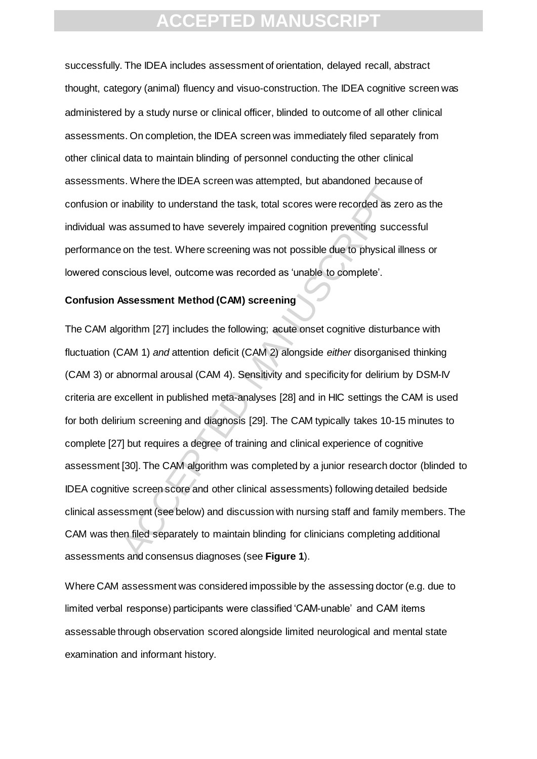successfully. The IDEA includes assessment of orientation, delayed recall, abstract thought, category (animal) fluency and visuo-construction. The IDEA cognitive screen was administered by a study nurse or clinical officer, blinded to outcome of all other clinical assessments. On completion, the IDEA screen was immediately filed separately from other clinical data to maintain blinding of personnel conducting the other clinical assessments. Where the IDEA screen was attempted, but abandoned because of confusion or inability to understand the task, total scores were recorded as zero as the individual was assumed to have severely impaired cognition preventing successful performance on the test. Where screening was not possible due to physical illness or lowered conscious level, outcome was recorded as 'unable to complete'.

#### **Confusion Assessment Method (CAM) screening**

The Case of the task, total scores were recorded as ze<br>the station of the task, total scores were recorded as ze<br>as assumed to have severely impaired cognition preventing succe<br>on the test. Where screening was not possible The CAM algorithm [27] includes the following; acute onset cognitive disturbance with fluctuation (CAM 1) *and* attention deficit (CAM 2) alongside *either* disorganised thinking (CAM 3) or abnormal arousal (CAM 4). Sensitivity and specificity for delirium by DSM-IV criteria are excellent in published meta-analyses [28] and in HIC settings the CAM is used for both delirium screening and diagnosis [29]. The CAM typically takes 10-15 minutes to complete [27] but requires a degree of training and clinical experience of cognitive assessment [30]. The CAM algorithm was completed by a junior research doctor (blinded to IDEA cognitive screen score and other clinical assessments) following detailed bedside clinical assessment (see below) and discussion with nursing staff and family members. The CAM was then filed separately to maintain blinding for clinicians completing additional assessments and consensus diagnoses (see **Figure 1**).

Where CAM assessment was considered impossible by the assessing doctor (e.g. due to limited verbal response) participants were classified 'CAM-unable' and CAM items assessable through observation scored alongside limited neurological and mental state examination and informant history.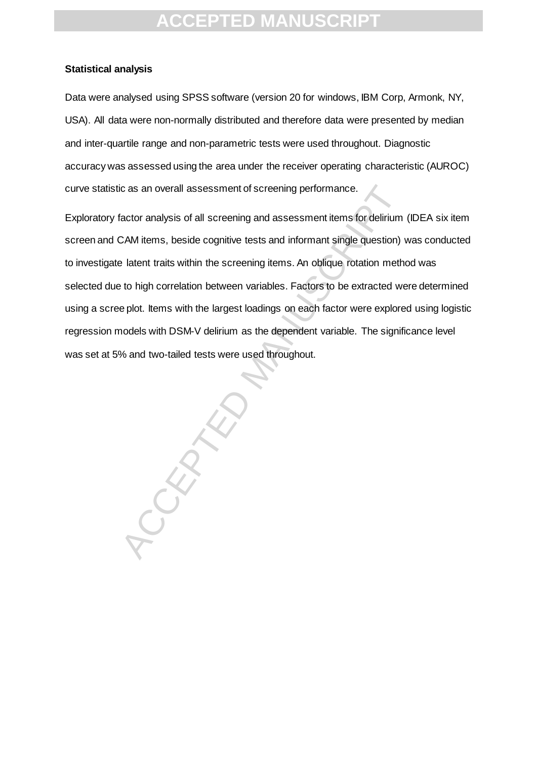#### **Statistical analysis**

Data were analysed using SPSS software (version 20 for windows, IBM Corp, Armonk, NY, USA). All data were non-normally distributed and therefore data were presented by median and inter-quartile range and non-parametric tests were used throughout. Diagnostic accuracy was assessed using the area under the receiver operating characteristic (AUROC) curve statistic as an overall assessment of screening performance.

Exploratory factor analysis of all screening and assessment items for delirium (IDEA six item screen and CAM items, beside cognitive tests and informant single question) was conducted to investigate latent traits within the screening items. An oblique rotation method was selected due to high correlation between variables. Factors to be extracted were determined using a scree plot. Items with the largest loadings on each factor were explored using logistic regression models with DSM-V delirium as the dependent variable. The significance level was set at 5% and two-tailed tests were used throughout.

ACCEPTED MANUSCRIPT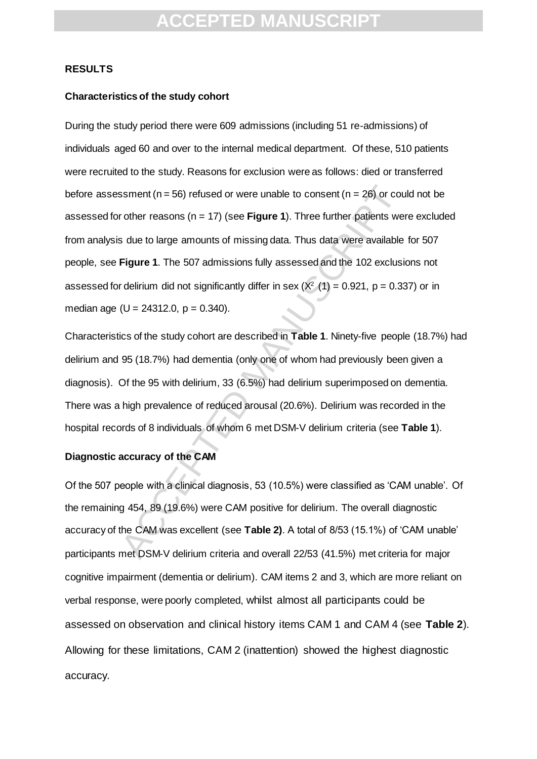#### **RESULTS**

#### **Characteristics of the study cohort**

assment (n = 56) refused or were unable to consent (n = 26) or count of the reasons (n = 17) (see **Figure 1**). Three further patients were available **Figure 1**. The 507 admissions fully assessed and the 102 exclusive reli During the study period there were 609 admissions (including 51 re-admissions) of individuals aged 60 and over to the internal medical department. Of these, 510 patients were recruited to the study. Reasons for exclusion were as follows: died or transferred before assessment ( $n = 56$ ) refused or were unable to consent ( $n = 26$ ) or could not be assessed for other reasons (n = 17) (see **Figure 1**). Three further patients were excluded from analysis due to large amounts of missing data. Thus data were available for 507 people, see **Figure 1**. The 507 admissions fully assessed and the 102 exclusions not assessed for delirium did not significantly differ in sex  $(X<sup>2</sup> (1) = 0.921, p = 0.337)$  or in median age ( $U = 24312.0$ ,  $p = 0.340$ ).

Characteristics of the study cohort are described in **Table 1**. Ninety-five people (18.7%) had delirium and 95 (18.7%) had dementia (only one of whom had previously been given a diagnosis). Of the 95 with delirium, 33 (6.5%) had delirium superimposed on dementia. There was a high prevalence of reduced arousal (20.6%). Delirium was recorded in the hospital records of 8 individuals of whom 6 met DSM-V delirium criteria (see **Table 1**).

#### **Diagnostic accuracy of the CAM**

Of the 507 people with a clinical diagnosis, 53 (10.5%) were classified as 'CAM unable'. Of the remaining 454, 89 (19.6%) were CAM positive for delirium. The overall diagnostic accuracy of the CAM was excellent (see **Table 2)**. A total of 8/53 (15.1%) of 'CAM unable' participants met DSM-V delirium criteria and overall 22/53 (41.5%) met criteria for major cognitive impairment (dementia or delirium). CAM items 2 and 3, which are more reliant on verbal response, were poorly completed, whilst almost all participants could be assessed on observation and clinical history items CAM 1 and CAM 4 (see **Table 2**). Allowing for these limitations, CAM 2 (inattention) showed the highest diagnostic accuracy.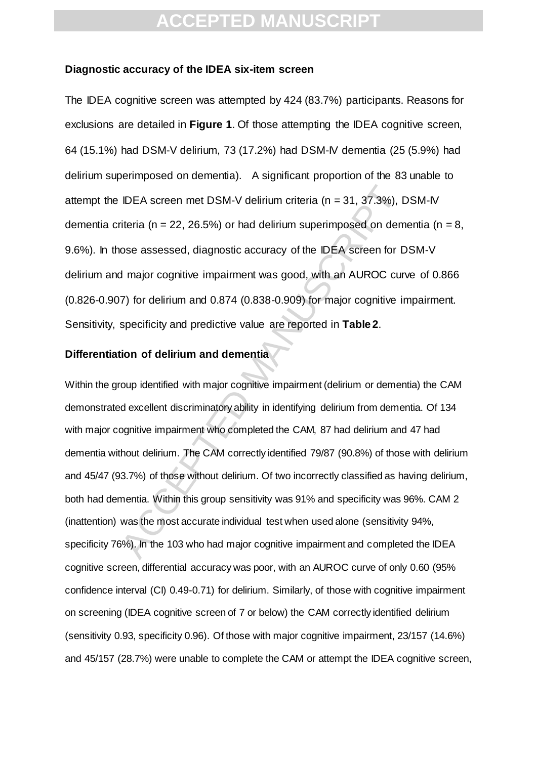#### **Diagnostic accuracy of the IDEA six-item screen**

The IDEA cognitive screen was attempted by 424 (83.7%) participants. Reasons for exclusions are detailed in **Figure 1**. Of those attempting the IDEA cognitive screen, 64 (15.1%) had DSM-V delirium, 73 (17.2%) had DSM-IV dementia (25 (5.9%) had delirium superimposed on dementia). A significant proportion of the 83 unable to attempt the IDEA screen met DSM-V delirium criteria (n = 31, 37.3%), DSM-IV dementia criteria (n = 22, 26.5%) or had delirium superimposed on dementia (n = 8, 9.6%). In those assessed, diagnostic accuracy of the IDEA screen for DSM-V delirium and major cognitive impairment was good, with an AUROC curve of 0.866 (0.826-0.907) for delirium and 0.874 (0.838-0.909) for major cognitive impairment. Sensitivity, specificity and predictive value are reported in **Table2**.

#### **Differentiation of delirium and dementia**

IDEA screen met DSM-V delirium criteria (n = 31, 37.3%), I<br>
fiteria (n = 22, 26.5%) or had delirium superimposed on dem<br>
ose assessed, diagnostic accuracy of the IDEA screen for D<br>
1 major cognitive impairment was good, wi Within the group identified with major cognitive impairment (delirium or dementia) the CAM demonstrated excellent discriminatory ability in identifying delirium from dementia. Of 134 with major cognitive impairment who completed the CAM, 87 had delirium and 47 had dementia without delirium. The CAM correctly identified 79/87 (90.8%) of those with delirium and 45/47 (93.7%) of those without delirium. Of two incorrectly classified as having delirium, both had dementia. Within this group sensitivity was 91% and specificity was 96%. CAM 2 (inattention) was the most accurate individual test when used alone (sensitivity 94%, specificity 76%). In the 103 who had major cognitive impairment and completed the IDEA cognitive screen, differential accuracy was poor, with an AUROC curve of only 0.60 (95% confidence interval (CI) 0.49-0.71) for delirium. Similarly, of those with cognitive impairment on screening (IDEA cognitive screen of 7 or below) the CAM correctly identified delirium (sensitivity 0.93, specificity 0.96). Of those with major cognitive impairment, 23/157 (14.6%) and 45/157 (28.7%) were unable to complete the CAM or attempt the IDEA cognitive screen,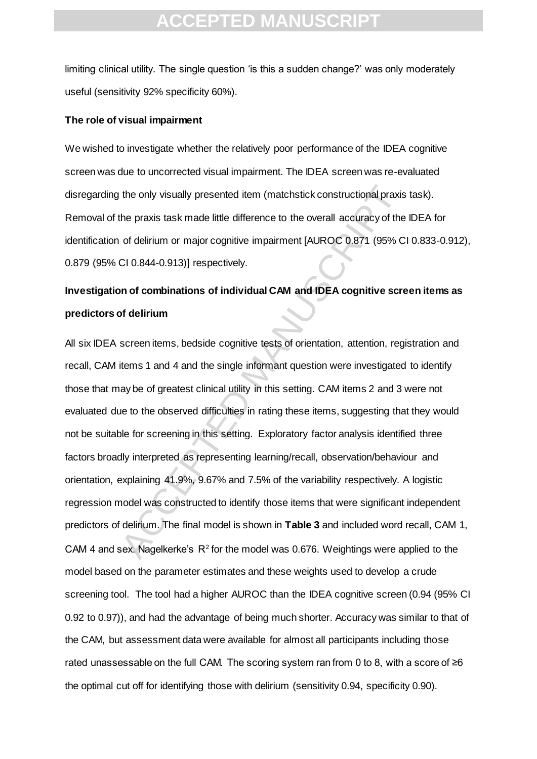limiting clinical utility. The single question 'is this a sudden change?' was only moderately useful (sensitivity 92% specificity 60%).

#### **The role of visual impairment**

We wished to investigate whether the relatively poor performance of the IDEA cognitive screen was due to uncorrected visual impairment. The IDEA screen was re-evaluated disregarding the only visually presented item (matchstick constructional praxis task). Removal of the praxis task made little difference to the overall accuracy of the IDEA for identification of delirium or major cognitive impairment [AUROC 0.871 (95% CI 0.833-0.912), 0.879 (95% CI 0.844-0.913)] respectively.

### **Investigation of combinations of individual CAM and IDEA cognitive screen items as predictors of delirium**

the only visually presented item (matchstick constructional praxis<br>the praxis task made little difference to the overall accuracy of the<br>of delirium or major cognitive impairment [AUROC 0.871 (95% C<br>CI 0.844-0.913)] respec All six IDEA screen items, bedside cognitive tests of orientation, attention, registration and recall, CAM items 1 and 4 and the single informant question were investigated to identify those that may be of greatest clinical utility in this setting. CAM items 2 and 3 were not evaluated due to the observed difficulties in rating these items, suggesting that they would not be suitable for screening in this setting. Exploratory factor analysis identified three factors broadly interpreted as representing learning/recall, observation/behaviour and orientation, explaining 41.9%, 9.67% and 7.5% of the variability respectively. A logistic regression model was constructed to identify those items that were significant independent predictors of delirium. The final model is shown in **Table 3** and included word recall, CAM 1, CAM 4 and sex. Nagelkerke's  $R^2$  for the model was 0.676. Weightings were applied to the model based on the parameter estimates and these weights used to develop a crude screening tool. The tool had a higher AUROC than the IDEA cognitive screen (0.94 (95% CI 0.92 to 0.97)), and had the advantage of being much shorter. Accuracy was similar to that of the CAM, but assessment data were available for almost all participants including those rated unassessable on the full CAM. The scoring system ran from 0 to 8, with a score of  $\geq 6$ the optimal cut off for identifying those with delirium (sensitivity 0.94, specificity 0.90).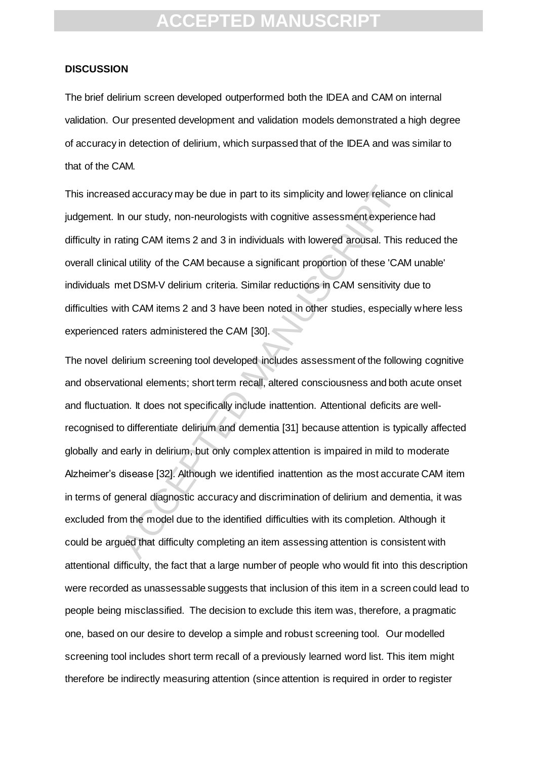#### **DISCUSSION**

The brief delirium screen developed outperformed both the IDEA and CAM on internal validation. Our presented development and validation models demonstrated a high degree of accuracy in detection of delirium, which surpassed that of the IDEA and was similar to that of the CAM.

This increased accuracy may be due in part to its simplicity and lower reliance on clinical judgement. In our study, non-neurologists with cognitive assessment experience had difficulty in rating CAM items 2 and 3 in individuals with lowered arousal. This reduced the overall clinical utility of the CAM because a significant proportion of these 'CAM unable' individuals met DSM-V delirium criteria. Similar reductions in CAM sensitivity due to difficulties with CAM items 2 and 3 have been noted in other studies, especially where less experienced raters administered the CAM [30].

ed accuracy may be due in part to its simplicity and lower reliance<br>n our study, non-neurologists with cognitive assessment experienting CAM items 2 and 3 in individuals with lowered arousal. This<br>al utility of the CAM bec The novel delirium screening tool developed includes assessment of the following cognitive and observational elements; short term recall, altered consciousness and both acute onset and fluctuation. It does not specifically include inattention. Attentional deficits are wellrecognised to differentiate delirium and dementia [31] because attention is typically affected globally and early in delirium, but only complex attention is impaired in mild to moderate Alzheimer's disease [32]. Although we identified inattention as the most accurate CAM item in terms of general diagnostic accuracy and discrimination of delirium and dementia, it was excluded from the model due to the identified difficulties with its completion. Although it could be argued that difficulty completing an item assessing attention is consistent with attentional difficulty, the fact that a large number of people who would fit into this description were recorded as unassessable suggests that inclusion of this item in a screen could lead to people being misclassified. The decision to exclude this item was, therefore, a pragmatic one, based on our desire to develop a simple and robust screening tool. Our modelled screening tool includes short term recall of a previously learned word list. This item might therefore be indirectly measuring attention (since attention is required in order to register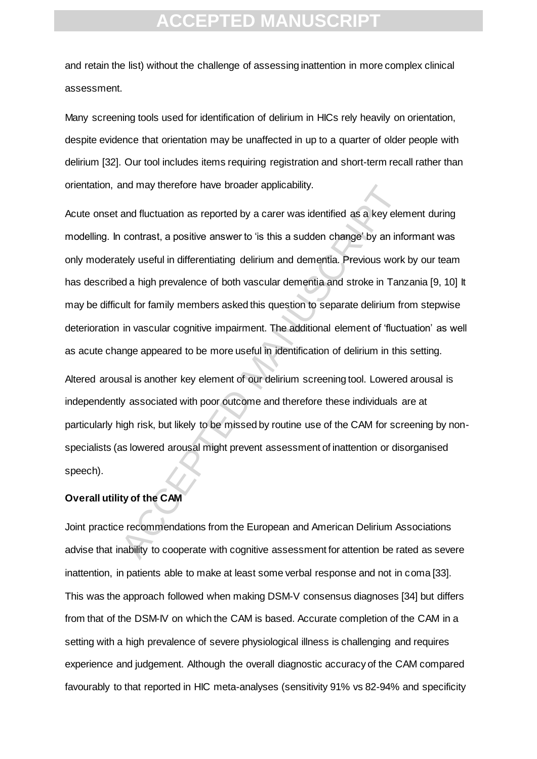and retain the list) without the challenge of assessing inattention in more complex clinical assessment.

Many screening tools used for identification of delirium in HICs rely heavily on orientation, despite evidence that orientation may be unaffected in up to a quarter of older people with delirium [32]. Our tool includes items requiring registration and short-term recall rather than orientation, and may therefore have broader applicability.

and fluctuation as reported by a carer was identified as a key eler<br>and fluctuation as reported by a carer was identified as a key eler<br>a contrast, a positive answer to 'is this a sudden change' by an infer-<br>tely useful in Acute onset and fluctuation as reported by a carer was identified as a key element during modelling. In contrast, a positive answer to 'is this a sudden change' by an informant was only moderately useful in differentiating delirium and dementia. Previous work by our team has described a high prevalence of both vascular dementia and stroke in Tanzania [9, 10] It may be difficult for family members asked this question to separate delirium from stepwise deterioration in vascular cognitive impairment. The additional element of 'fluctuation' as well as acute change appeared to be more useful in identification of delirium in this setting.

Altered arousal is another key element of our delirium screening tool. Lowered arousal is independently associated with poor outcome and therefore these individuals are at particularly high risk, but likely to be missed by routine use of the CAM for screening by nonspecialists (as lowered arousal might prevent assessment of inattention or disorganised speech).

#### **Overall utility of the CAM**

Joint practice recommendations from the European and American Delirium Associations advise that inability to cooperate with cognitive assessment for attention be rated as severe inattention, in patients able to make at least some verbal response and not in coma [33]. This was the approach followed when making DSM-V consensus diagnoses [34] but differs from that of the DSM-IV on which the CAM is based. Accurate completion of the CAM in a setting with a high prevalence of severe physiological illness is challenging and requires experience and judgement. Although the overall diagnostic accuracy of the CAM compared favourably to that reported in HIC meta-analyses (sensitivity 91% vs 82-94% and specificity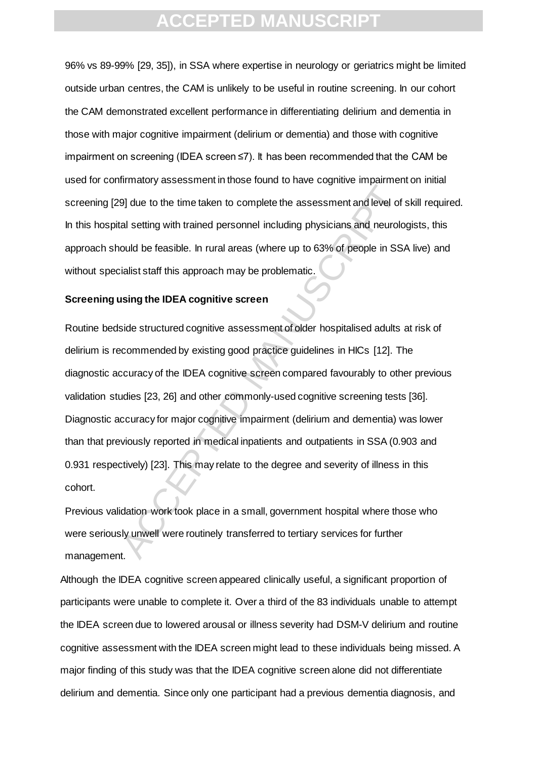96% vs 89-99% [29, 35]), in SSA where expertise in neurology or geriatrics might be limited outside urban centres, the CAM is unlikely to be useful in routine screening. In our cohort the CAM demonstrated excellent performance in differentiating delirium and dementia in those with major cognitive impairment (delirium or dementia) and those with cognitive impairment on screening (IDEA screen ≤7). It has been recommended that the CAM be used for confirmatory assessment in those found to have cognitive impairment on initial screening [29] due to the time taken to complete the assessment and level of skill required. In this hospital setting with trained personnel including physicians and neurologists, this approach should be feasible. In rural areas (where up to 63% of people in SSA live) and without specialist staff this approach may be problematic.

#### **Screening using the IDEA cognitive screen**

9] due to the time taken to complete the assessment and level of tal setting with trained personnel including physicians and neurolo ould be feasible. In rural areas (where up to 63% of people in SS, talist staff this appr Routine bedside structured cognitive assessment of older hospitalised adults at risk of delirium is recommended by existing good practice guidelines in HICs [12]. The diagnostic accuracy of the IDEA cognitive screen compared favourably to other previous validation studies [23, 26] and other commonly-used cognitive screening tests [36]. Diagnostic accuracy for major cognitive impairment (delirium and dementia) was lower than that previously reported in medical inpatients and outpatients in SSA (0.903 and 0.931 respectively) [23]. This may relate to the degree and severity of illness in this cohort.

Previous validation work took place in a small, government hospital where those who were seriously unwell were routinely transferred to tertiary services for further management.

Although the IDEA cognitive screen appeared clinically useful, a significant proportion of participants were unable to complete it. Over a third of the 83 individuals unable to attempt the IDEA screen due to lowered arousal or illness severity had DSM-V delirium and routine cognitive assessment with the IDEA screen might lead to these individuals being missed. A major finding of this study was that the IDEA cognitive screen alone did not differentiate delirium and dementia. Since only one participant had a previous dementia diagnosis, and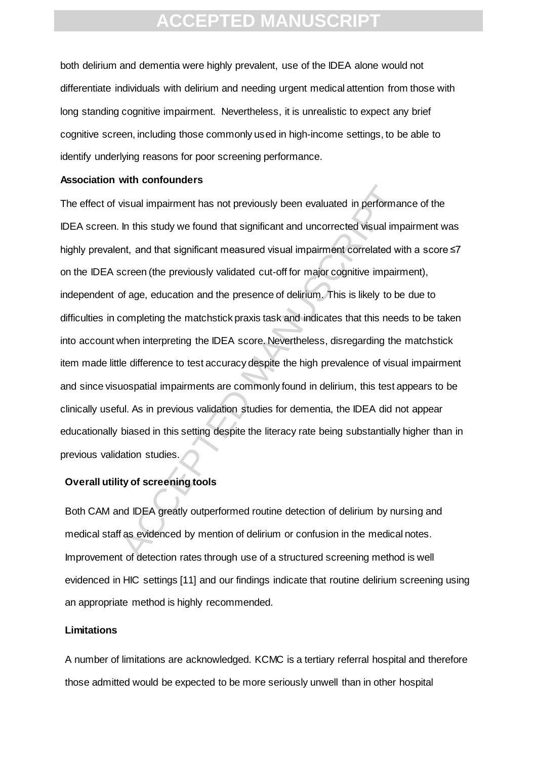both delirium and dementia were highly prevalent, use of the IDEA alone would not differentiate individuals with delirium and needing urgent medical attention from those with long standing cognitive impairment. Nevertheless, it is unrealistic to expect any brief cognitive screen, including those commonly used in high-income settings, to be able to identify underlying reasons for poor screening performance.

#### **Association with confounders**

is visual impairment has not previously been evaluated in performan<br>
In this study we found that significant and uncorrected visual imp<br>
Int, and that significant measured visual impairment correlated wit<br>
screen (the prev The effect of visual impairment has not previously been evaluated in performance of the IDEA screen. In this study we found that significant and uncorrected visual impairment was highly prevalent, and that significant measured visual impairment correlated with a score ≤7 on the IDEA screen (the previously validated cut-off for major cognitive impairment), independent of age, education and the presence of delirium. This is likely to be due to difficulties in completing the matchstick praxis task and indicates that this needs to be taken into account when interpreting the IDEA score. Nevertheless, disregarding the matchstick item made little difference to test accuracy despite the high prevalence of visual impairment and since visuospatial impairments are commonly found in delirium, this test appears to be clinically useful. As in previous validation studies for dementia, the IDEA did not appear educationally biased in this setting despite the literacy rate being substantially higher than in previous validation studies.

#### **Overall utility of screening tools**

Both CAM and IDEA greatly outperformed routine detection of delirium by nursing and medical staff as evidenced by mention of delirium or confusion in the medical notes. Improvement of detection rates through use of a structured screening method is well evidenced in HIC settings [11] and our findings indicate that routine delirium screening using an appropriate method is highly recommended.

#### **Limitations**

A number of limitations are acknowledged. KCMC is a tertiary referral hospital and therefore those admitted would be expected to be more seriously unwell than in other hospital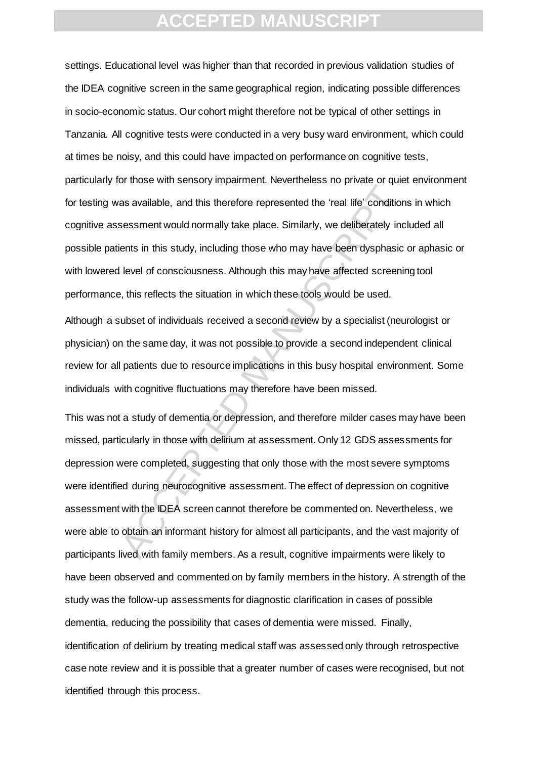settings. Educational level was higher than that recorded in previous validation studies of the IDEA cognitive screen in the same geographical region, indicating possible differences in socio-economic status. Our cohort might therefore not be typical of other settings in Tanzania. All cognitive tests were conducted in a very busy ward environment, which could at times be noisy, and this could have impacted on performance on cognitive tests, particularly for those with sensory impairment. Nevertheless no private or quiet environment for testing was available, and this therefore represented the 'real life' conditions in which cognitive assessment would normally take place. Similarly, we deliberately included all possible patients in this study, including those who may have been dysphasic or aphasic or with lowered level of consciousness. Although this may have affected screening tool performance, this reflects the situation in which these tools would be used.

Although a subset of individuals received a second review by a specialist (neurologist or physician) on the same day, it was not possible to provide a second independent clinical review for all patients due to resource implications in this busy hospital environment. Some individuals with cognitive fluctuations may therefore have been missed.

as available, and this therefore represented the 'real life' condition<br>ressment would normally take place. Similarly, we deliberately inc<br>ents in this study, including those who may have been dysphasic<br>level of consciousne This was not a study of dementia or depression, and therefore milder cases may have been missed, particularly in those with delirium at assessment. Only 12 GDS assessments for depression were completed, suggesting that only those with the most severe symptoms were identified during neurocognitive assessment. The effect of depression on cognitive assessment with the IDEA screen cannot therefore be commented on. Nevertheless, we were able to obtain an informant history for almost all participants, and the vast majority of participants lived with family members. As a result, cognitive impairments were likely to have been observed and commented on by family members in the history. A strength of the study was the follow-up assessments for diagnostic clarification in cases of possible dementia, reducing the possibility that cases of dementia were missed. Finally, identification of delirium by treating medical staff was assessed only through retrospective case note review and it is possible that a greater number of cases were recognised, but not identified through this process.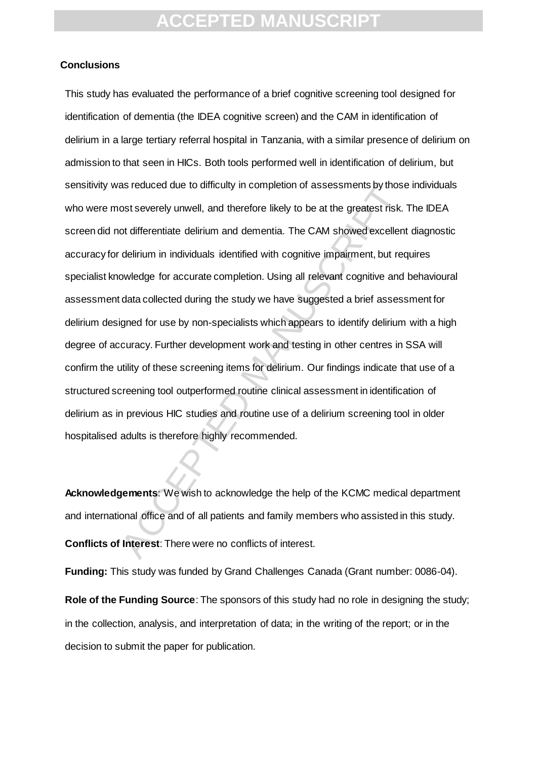#### **Conclusions**

as reduced due to dimiculty in completion of assessments by most<br>ost severely unwell, and therefore likely to be at the greatest risk.<br>of differentiate delirium and dementia. The CAM showed excellen<br>delirium in individuals This study has evaluated the performance of a brief cognitive screening tool designed for identification of dementia (the IDEA cognitive screen) and the CAM in identification of delirium in a large tertiary referral hospital in Tanzania, with a similar presence of delirium on admission to that seen in HICs. Both tools performed well in identification of delirium, but sensitivity was reduced due to difficulty in completion of assessments by those individuals who were most severely unwell, and therefore likely to be at the greatest risk. The IDEA screen did not differentiate delirium and dementia. The CAM showed excellent diagnostic accuracy for delirium in individuals identified with cognitive impairment, but requires specialist knowledge for accurate completion. Using all relevant cognitive and behavioural assessment data collected during the study we have suggested a brief assessment for delirium designed for use by non-specialists which appears to identify delirium with a high degree of accuracy. Further development work and testing in other centres in SSA will confirm the utility of these screening items for delirium. Our findings indicate that use of a structured screening tool outperformed routine clinical assessment in identification of delirium as in previous HIC studies and routine use of a delirium screening tool in older hospitalised adults is therefore highly recommended.

**Acknowledgements**: We wish to acknowledge the help of the KCMC medical department and international office and of all patients and family members who assisted in this study. **Conflicts of Interest**: There were no conflicts of interest.

**Funding:** This study was funded by Grand Challenges Canada (Grant number: 0086-04). **Role of the Funding Source**: The sponsors of this study had no role in designing the study; in the collection, analysis, and interpretation of data; in the writing of the report; or in the decision to submit the paper for publication.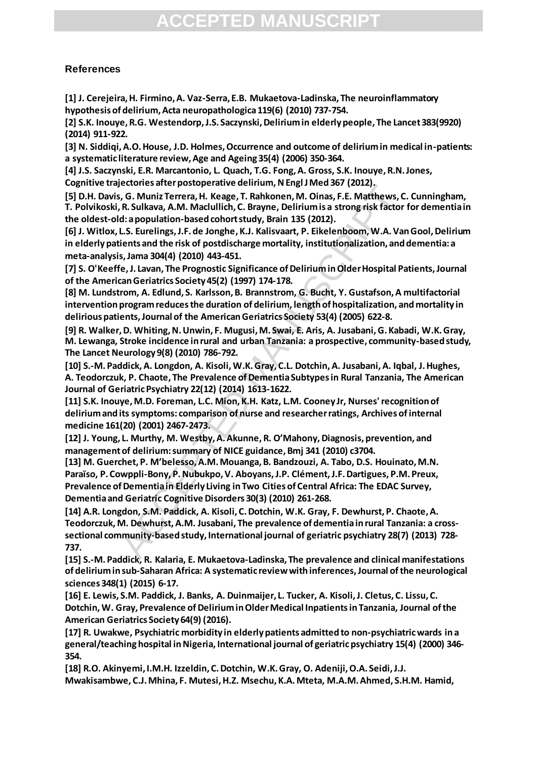#### **References**

**[1] J. Cerejeira, H. Firmino, A. Vaz-Serra, E.B. Mukaetova-Ladinska, The neuroinflammatory hypothesis of delirium, Acta neuropathologica 119(6) (2010) 737-754.**

**[2] S.K. Inouye, R.G. Westendorp, J.S. Saczynski, Delirium in elderly people, The Lancet 383(9920) (2014) 911-922.**

**[3] N. Siddiqi, A.O. House, J.D. Holmes, Occurrence and outcome of delirium in medical in-patients: a systematic literature review, Age and Ageing 35(4) (2006) 350-364.**

**[4] J.S. Saczynski, E.R. Marcantonio, L. Quach, T.G. Fong, A. Gross, S.K. Inouye, R.N.Jones, Cognitive trajectories afterpostoperative delirium,NEnglJMed367 (2012).**

**[5] D.H. Davis, G. Muniz Terrera,H. Keage, T. Rahkonen, M. Oinas, F.E. Matthews, C. Cunningham, T. Polvikoski, R. Sulkava, A.M. Maclullich, C. Brayne, Delirium is a strong risk factor for dementia in the oldest-old: a population-based cohort study, Brain 135 (2012).**

**[6] J. Witlox, L.S. Eurelings, J.F. de Jonghe, K.J. Kalisvaart, P. Eikelenboom, W.A. Van Gool, Delirium in elderly patients and the risk of postdischarge mortality, institutionalization, and dementia: a meta-analysis, Jama 304(4) (2010) 443-451.**

**[7] S. O'Keeffe,J. Lavan, The Prognostic Significance ofDeliriuminOlderHospital Patients,Journal of the American Geriatrics Society 45(2) (1997) 174-178.**

**[8] M. Lundstrom, A. Edlund, S. Karlsson, B. Brannstrom, G. Bucht, Y. Gustafson, A multifactorial intervention programreducesthe duration of delirium, length of hospitalization, andmortality in delirious patients, Journal of the American Geriatrics Society 53(4) (2005) 622-8.**

**[9] R. Walker,D. Whiting,N.Unwin, F. Mugusi, M. Swai, E. Aris, A. Jusabani,G.Kabadi, W.K.Gray, M. Lewanga, Stroke incidence in rural and urban Tanzania: a prospective, community-based study, The Lancet Neurology 9(8) (2010) 786-792.**

**[10] S.-M. Paddick,A. Longdon, A. Kisoli,W.K.Gray, C.L. Dotchin,A. Jusabani,A. Iqbal, J.Hughes, A. Teodorczuk, P. Chaote, The Prevalence of Dementia Subtypes in Rural Tanzania, The American Journal of Geriatric Psychiatry 22(12) (2014) 1613-1622.**

**[11] S.K. Inouye, M.D. Foreman, L.C. Mion, K.H. Katz, L.M. Cooney Jr, Nurses' recognition of deliriumandits symptoms: comparison of nurse and researcherratings, Archives ofinternal medicine 161(20) (2001) 2467-2473.**

**[12] J. Young, L. Murthy, M. Westby,A.Akunne, R. O'Mahony,Diagnosis, prevention, and management of delirium: summary of NICE guidance, Bmj 341 (2010) c3704.**

Control and Man Internation (Man Internation Control Control Control Control Control Control (Man Internation Das F.E. Matthews, C, R. Sulkava, A.M. MacIullich, C. Brayne, Delirium is a strong risk factor d: apopulation-ba **[13] M. Guerchet, P. M'belesso, A.M. Mouanga, B. Bandzouzi, A. Tabo, D.S. Houinato, M.N. Paraïso, P. Cowppli-Bony, P.Nubukpo, V. Aboyans,J.P. Clément,J.F.Dartigues, P.M. Preux, Prevalence of Dementia in Elderly Living in Two Cities of Central Africa: The EDAC Survey, Dementia and Geriatric Cognitive Disorders 30(3) (2010) 261-268.**

**[14] A.R. Longdon, S.M. Paddick, A. Kisoli, C. Dotchin, W.K. Gray, F. Dewhurst, P. Chaote, A. Teodorczuk, M. Dewhurst,A.M. Jusabani, The prevalence of dementiainrural Tanzania: a cross‐ sectional community‐based study, International journal of geriatric psychiatry 28(7) (2013) 728- 737.**

**[15] S.-M. Paddick, R. Kalaria, E. Mukaetova-Ladinska, The prevalence and clinical manifestations of deliriuminsub-Saharan Africa: A systematic reviewwithinferences,Journal ofthe neurological sciences 348(1) (2015) 6-17.**

**[16] E. Lewis, S.M. Paddick, J. Banks, A. Duinmaijer, L. Tucker, A. Kisoli, J. Cletus, C. Lissu, C. Dotchin,W. Gray, Prevalence ofDeliriuminOlderMedical InpatientsinTanzania, Journal ofthe American Geriatrics Society 64(9) (2016).**

**[17] R. Uwakwe, Psychiatric morbidity in elderly patients admitted to non‐psychiatric wards in a general/teaching hospital inNigeria, International journal of geriatricpsychiatry 15(4) (2000) 346- 354.**

**[18] R.O. Akinyemi, I.M.H. Izzeldin, C. Dotchin, W.K. Gray, O. Adeniji, O.A. Seidi, J.J. Mwakisambwe, C.J.Mhina, F. Mutesi,H.Z. Msechu, K.A.Mteta, M.A.M.Ahmed, S.H.M. Hamid,**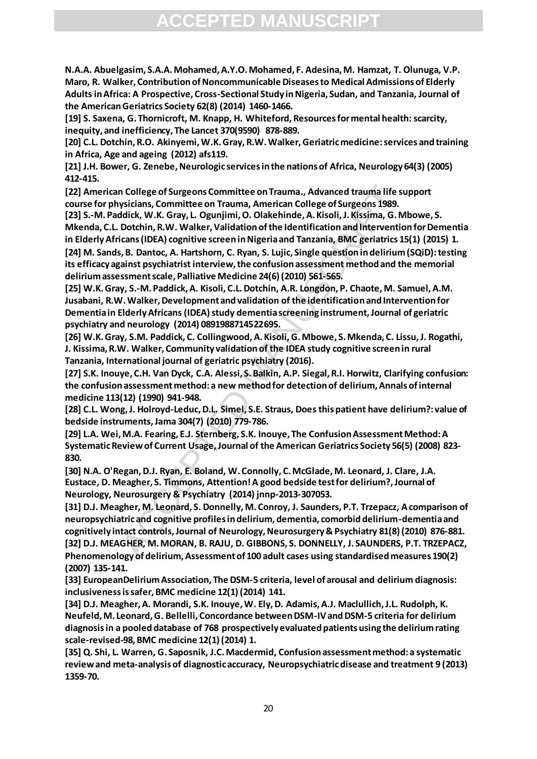**N.A.A. Abuelgasim, S.A.A. Mohamed, A.Y.O. Mohamed, F. Adesina, M. Hamzat, T. Olunuga, V.P. Maro, R. Walker, Contribution of Noncommunicable Diseases to Medical Admissions of Elderly Adults in Africa: A Prospective, Cross-Sectional Study in Nigeria, Sudan, and Tanzania, Journal of the American Geriatrics Society 62(8) (2014) 1460-1466.**

**[19] S. Saxena, G. Thornicroft, M. Knapp, H. Whiteford, Resources for mental health: scarcity, inequity, and inefficiency, The Lancet 370(9590) 878-889.**

**[20] C.L. Dotchin, R.O. Akinyemi,W.K.Gray, R.W.Walker,Geriatricmedicine:services andtraining in Africa, Age and ageing (2012) afs119.**

**[21] J.H. Bower, G. Zenebe, Neurologic services in the nations of Africa, Neurology 64(3) (2005) 412-415.**

**[22] American College of Surgeons Committee on Trauma., Advanced trauma life support course for physicians, Committee on Trauma, American College of Surgeons 1989.**

**[23] S.-M. Paddick, W.K. Gray, L. Ogunjimi, O. Olakehinde, A. Kisoli, J. Kissima, G. Mbowe, S. Mkenda, C.L. Dotchin, R.W. Walker,Validation ofthe Identification andIntervention forDementia in ElderlyAfricans(IDEA) cognitive screen inNigeriaand Tanzania, BMC geriatrics 15(1) (2015) 1.**

**[24] M. Sands, B. Dantoc, A. Hartshorn, C. Ryan, S. Lujic, Single question indelirium(SQiD):testing its efficacy against psychiatrist interview, the confusion assessment method and the memorial delirium assessment scale, Palliative Medicine 24(6) (2010) 561-565.**

**[25] W.K.Gray, S.-M.Paddick,A. Kisoli, C.L.Dotchin, A.R. Longdon, P. Chaote, M. Samuel,A.M. Jusabani, R.W. Walker, Development and validation of the identification and Intervention for Dementia in Elderly Africans (IDEA) study dementia screening instrument, Journal of geriatric psychiatry and neurology (2014) 0891988714522695.**

**[26] W.K.Gray, S.M. Paddick, C. Collingwood, A.Kisoli,G.Mbowe, S.Mkenda, C. Lissu,J. Rogathi, J. Kissima, R.W. Walker, Community validation of the IDEA study cognitive screen in rural Tanzania, International journal of geriatric psychiatry (2016).**

**[27] S.K. Inouye, C.H. Van Dyck, C.A. Alessi, S. Balkin, A.P. Siegal, R.I. Horwitz, Clarifying confusion: the confusion assessment method: a new method for detection of delirium, Annals of internal medicine 113(12) (1990) 941-948.**

**[28] C.L. Wong, J. Holroyd-Leduc, D.L. Simel, S.E. Straus, Does this patient have delirium?: value of bedside instruments, Jama 304(7) (2010) 779-786.**

**[29] L.A. Wei, M.A. Fearing, E.J. Sternberg, S.K. Inouye, The Confusion Assessment Method: A SystematicReviewof Current Usage,Journal of the American Geriatrics Society 56(5) (2008) 823- 830.**

**[30] N.A. O'Regan,D.J. Ryan, E. Boland, W.Connolly, C.McGlade, M. Leonard, J. Clare, J.A. Eustace, D. Meagher, S. Timmons, Attention! A good bedside test for delirium?, Journal of Neurology, Neurosurgery & Psychiatry (2014) jnnp-2013-307053.**

n College of Surgeons Committee on Trauma., Advanced trauma life st<br>ysticians, Committee on Trauma, American College of Surgeons 1989.<br>Hoick, W.K. Gray, L. Ogunjimi, O. Olakehinde, A. Kisoij, J. Kissima, G. M<br>Dotchin, R.W. **[31] D.J. Meagher, M. Leonard, S. Donnelly, M. Conroy, J. Saunders, P.T. Trzepacz, Acomparison of neuropsychiatric and cognitive profiles in delirium, dementia, comorbid delirium-dementia and cognitively intact controls, Journal of Neurology, Neurosurgery & Psychiatry 81(8)(2010) 876-881. [32] D.J. MEAGHER, M.MORAN, B. RAJU, D. GIBBONS, S. DONNELLY, J. SAUNDERS, P.T. TRZEPACZ, Phenomenology of delirium, Assessment of 100 adult cases using standardised measures 190(2) (2007) 135-141.**

**[33] EuropeanDelirium Association, The DSM-5 criteria, level of arousal and delirium diagnosis: inclusiveness is safer, BMC medicine 12(1) (2014) 141.**

**[34] D.J. Meagher, A. Morandi, S.K. Inouye, W. Ely, D. Adamis, A.J. Maclullich, J.L. Rudolph, K. Neufeld, M. Leonard, G. Bellelli, Concordance between DSM-IV and DSM-5 criteria for delirium diagnosis in a pooled database of 768 prospectively evaluated patients using the delirium rating scale-revised-98, BMC medicine 12(1) (2014) 1.**

**[35] Q. Shi, L. Warren, G. Saposnik, J.C. Macdermid, Confusion assessment method: a systematic review and meta-analysis of diagnostic accuracy, Neuropsychiatric disease and treatment 9 (2013) 1359-70.**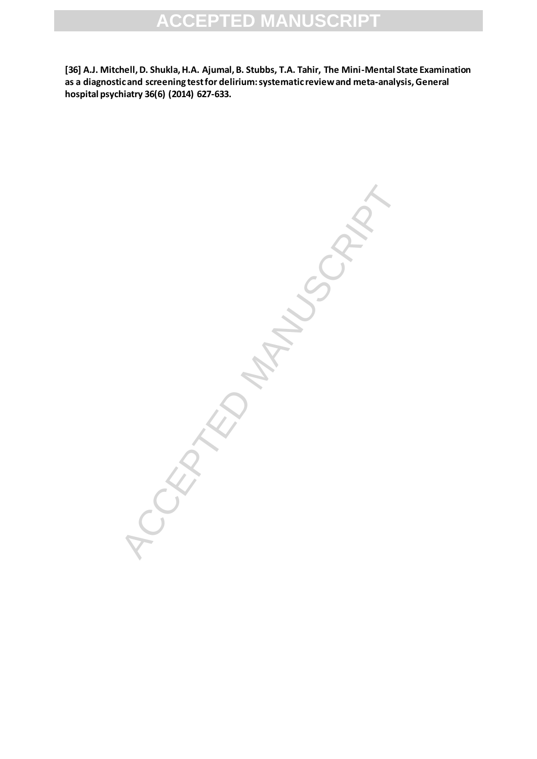**[36] A.J. Mitchell, D. Shukla, H.A. Ajumal, B. Stubbs, T.A. Tahir, The Mini-Mental State Examination as a diagnostic and screening test for delirium: systematic review and meta-analysis, General hospital psychiatry 36(6) (2014) 627-633.**

ACCEPTED MANUSCRIPT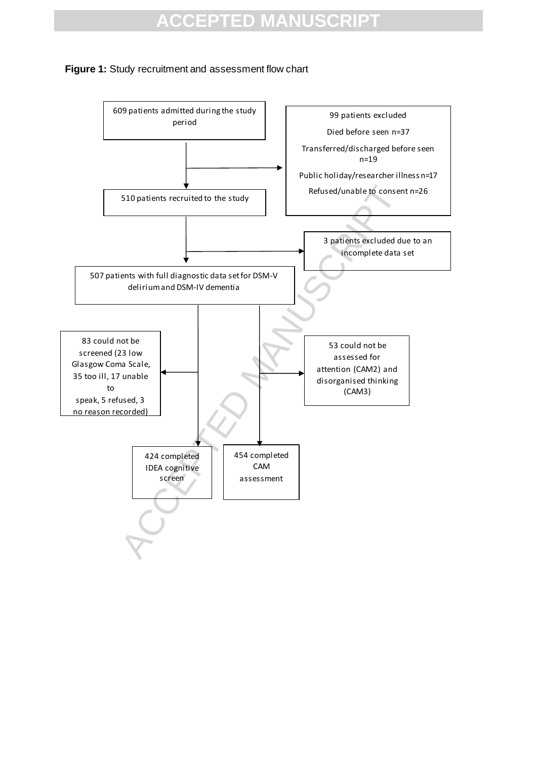#### **Figure 1:** Study recruitment and assessment flow chart

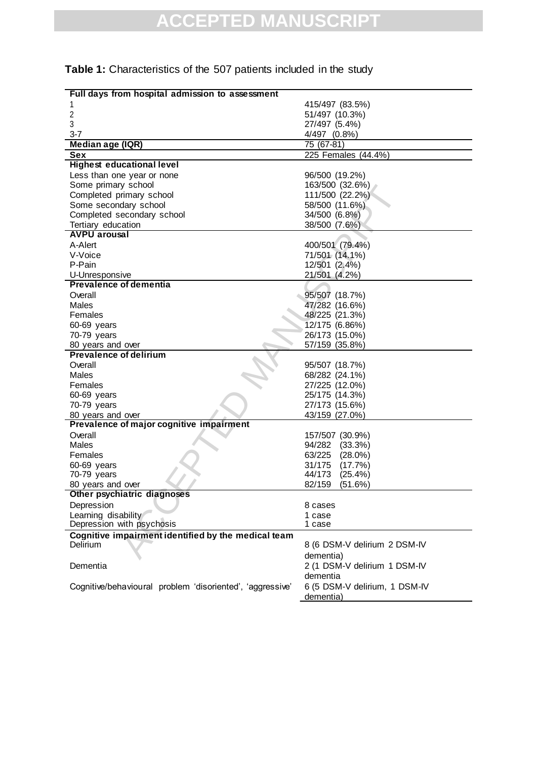### **Table 1:** Characteristics of the 507 patients included in the study

| Full days from hospital admission to assessment           |                               |
|-----------------------------------------------------------|-------------------------------|
|                                                           | 415/497 (83.5%)               |
| 2                                                         | 51/497 (10.3%)                |
| 3                                                         | 27/497 (5.4%)                 |
| $3 - 7$                                                   | 4/497 (0.8%)                  |
| Median age (IQR)                                          | 75 (67-81)                    |
| Sex                                                       | 225 Females (44.4%)           |
| <b>Highest educational level</b>                          |                               |
| Less than one year or none                                | 96/500 (19.2%)                |
| Some primary school                                       | 163/500 (32.6%)               |
| Completed primary school                                  | 111/500 (22.2%)               |
| Some secondary school                                     | 58/500 (11.6%)                |
| Completed secondary school                                | 34/500 (6.8%)                 |
| Tertiary education                                        | 38/500 (7.6%)                 |
| <b>AVPU</b> arousal                                       |                               |
| A-Alert                                                   | 400/501 (79.4%)               |
| V-Voice                                                   | 71/501 (14.1%)                |
| P-Pain                                                    | 12/501 (2.4%)                 |
| U-Unresponsive                                            | 21/501 (4.2%)                 |
| <b>Prevalence of dementia</b>                             |                               |
| Overall                                                   | 95/507 (18.7%)                |
| Males                                                     | 47/282 (16.6%)                |
| Females                                                   | 48/225 (21.3%)                |
| 60-69 years                                               | 12/175 (6.86%)                |
| 70-79 years                                               | 26/173 (15.0%)                |
| 80 years and over                                         | 57/159 (35.8%)                |
| <b>Prevalence of delirium</b>                             |                               |
| Overall                                                   | 95/507 (18.7%)                |
| Males                                                     | 68/282 (24.1%)                |
| Females                                                   | 27/225 (12.0%)                |
| 60-69 years                                               | 25/175 (14.3%)                |
| 70-79 years                                               | 27/173 (15.6%)                |
| 80 years and over                                         | 43/159 (27.0%)                |
| Prevalence of major cognitive impairment                  |                               |
| Overall                                                   | 157/507 (30.9%)               |
| Males                                                     | 94/282<br>(33.3%)             |
| Females                                                   | 63/225<br>$(28.0\%)$          |
| 60-69 years                                               | 31/175<br>(17.7%)             |
| 70-79 years                                               | 44/173<br>$(25.4\%)$          |
| 80 years and over                                         | 82/159<br>(51.6%)             |
| Other psychiatric diagnoses                               |                               |
| Depression                                                | 8 cases                       |
| Learning disability                                       | 1 case                        |
| Depression with psychosis                                 | 1 case                        |
| Cognitive impairment identified by the medical team       |                               |
| Delirium                                                  | 8 (6 DSM-V delirium 2 DSM-IV  |
|                                                           | dementia)                     |
| Dementia                                                  | 2 (1 DSM-V delirium 1 DSM-IV  |
|                                                           | dementia                      |
|                                                           |                               |
| Cognitive/behavioural problem 'disoriented', 'aggressive' | 6 (5 DSM-V delirium, 1 DSM-IV |
|                                                           | dementia)                     |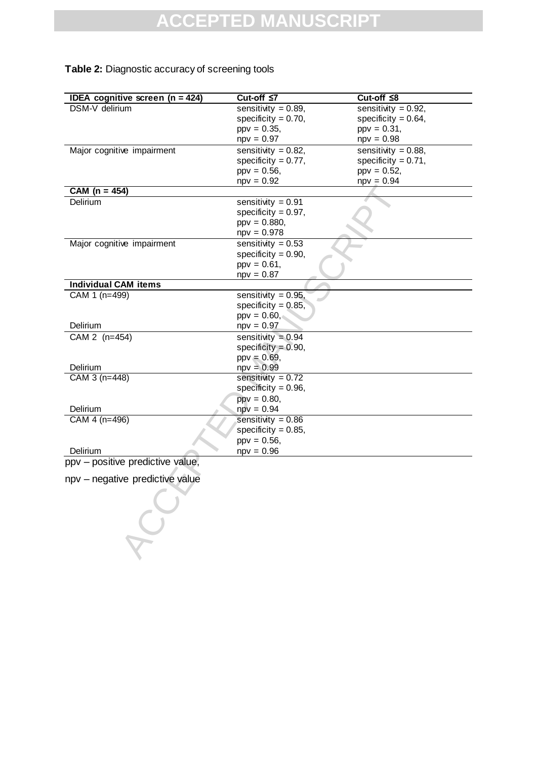| <b>IDEA</b> cognitive screen $(n = 424)$ | Cut-off $\leq 7$                               | Cut-off $\leq 8$       |
|------------------------------------------|------------------------------------------------|------------------------|
| DSM-V delirium                           | sensitivity = $0.89$ ,                         | sensitivity = $0.92$ , |
|                                          | specificity = $0.70$ ,                         | specificity = $0.64$ , |
|                                          | $ppv = 0.35,$                                  | $ppv = 0.31,$          |
|                                          | $npv = 0.97$                                   | $npv = 0.98$           |
| Major cognitive impairment               | sensitivity = $0.82$ ,                         | sensitivity = $0.88$ , |
|                                          | specificity = $0.77$ ,                         | specificity = $0.71$ , |
|                                          | $ppv = 0.56$ ,                                 | $ppv = 0.52$ ,         |
|                                          | $npv = 0.92$                                   | $npv = 0.94$           |
| CAM ( $n = 454$ )                        |                                                |                        |
| Delirium                                 | sensitivity = $0.91$<br>specificity = $0.97$ , |                        |
|                                          | $ppv = 0.880,$                                 |                        |
|                                          | $npv = 0.978$                                  |                        |
| Major cognitive impairment               | sensitivity = $0.53$                           |                        |
|                                          | specificity = $0.90$ ,                         |                        |
|                                          | $ppv = 0.61,$                                  |                        |
|                                          | $npv = 0.87$                                   |                        |
| <b>Individual CAM items</b>              |                                                |                        |
| CAM 1 (n=499)                            | sensitivity = $0.95$ ,                         |                        |
|                                          | specificity = $0.85$ ,                         |                        |
|                                          | $ppv = 0.60,$                                  |                        |
| Delirium                                 | $npv = 0.97$                                   |                        |
| CAM 2 (n=454)                            | sensitivity = $0.94$                           |                        |
|                                          | specificity = $0.90$ ,                         |                        |
|                                          | $ppv = 0.69$ ,                                 |                        |
| Delirium                                 | $npv = 0.99$                                   |                        |
| CAM 3 (n=448)                            | sensitivity = $0.72$                           |                        |
|                                          | specificity = $0.96$ ,                         |                        |
| Delirium                                 | $ppv = 0.80,$<br>$npv = 0.94$                  |                        |
| CAM 4 (n=496)                            | sensitivity = $0.86$                           |                        |
|                                          | specificity = $0.85$ ,                         |                        |
|                                          | $ppv = 0.56$ ,                                 |                        |
| Delirium                                 | $npv = 0.96$                                   |                        |
| ppv - positive predictive value,         |                                                |                        |
| npv - negative predictive value          |                                                |                        |
|                                          |                                                |                        |
|                                          |                                                |                        |
|                                          |                                                |                        |
|                                          |                                                |                        |
|                                          |                                                |                        |
|                                          |                                                |                        |
|                                          |                                                |                        |

### **Table 2:** Diagnostic accuracy of screening tools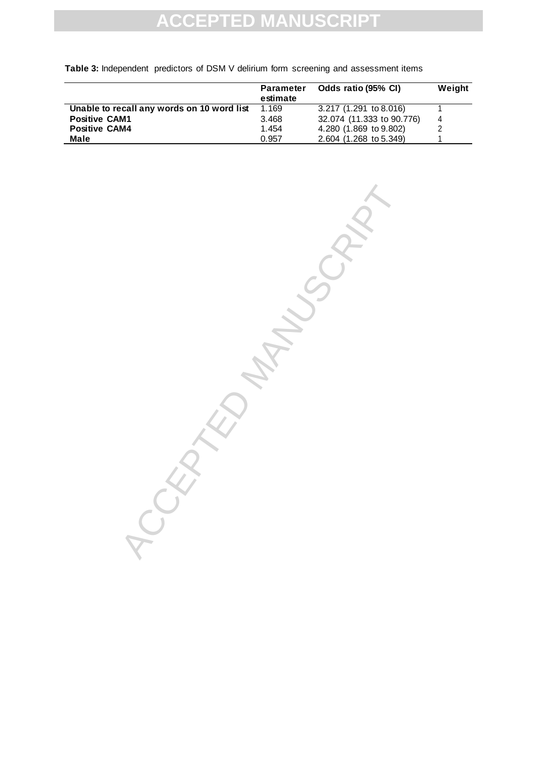**Table 3:** Independent predictors of DSM V delirium form screening and assessment items

|                                            | <b>Parameter</b><br>estimate | Odds ratio (95% CI)       | Weight |
|--------------------------------------------|------------------------------|---------------------------|--------|
| Unable to recall any words on 10 word list | .169                         | 3.217 (1.291 to 8.016)    |        |
| <b>Positive CAM1</b>                       | 3.468                        | 32.074 (11.333 to 90.776) | 4      |
| <b>Positive CAM4</b>                       | 1.454                        | 4.280 (1.869 to 9.802)    |        |
| Male                                       | 0.957                        | 2.604 (1.268 to 5.349)    |        |

LY MANUSCRIPT